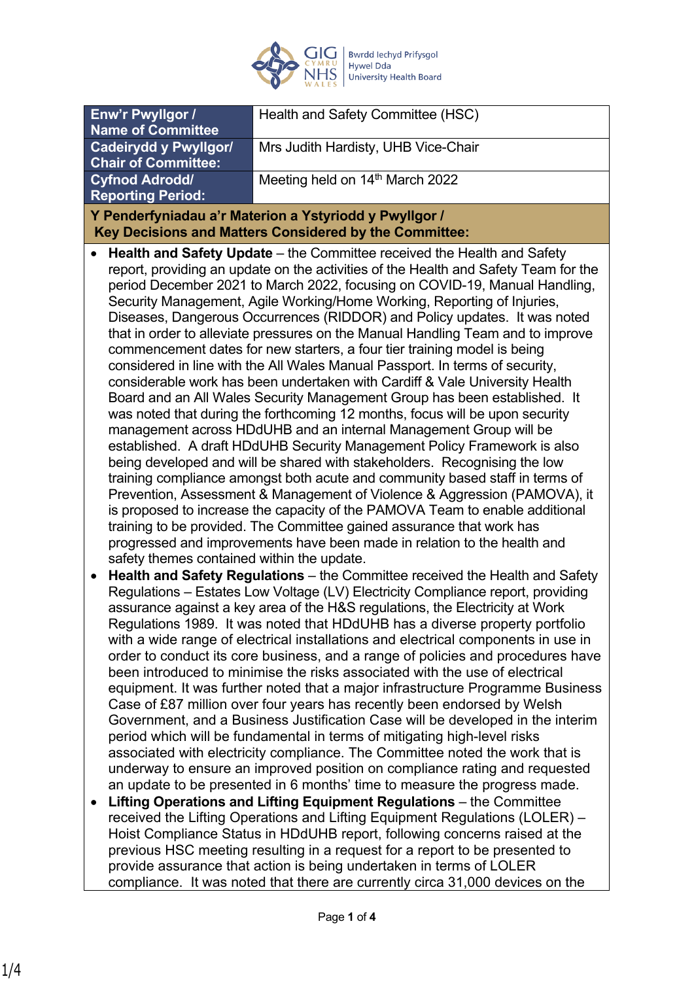

|                                                                                                                                                                                                                                                                                                                                                                                                                                                                                                                                                                                                                                                                                                                                                                                                                                                                                                                                                                                                                                                                                                                                                                                                                                                                                                                                                                                                                                                                                                                                                                                                                                                                                                                                                                                                                                                                                                                                                                                                                                                                                                                                                                                                                                                                                                                                                                                                                                                                                                                                                                                                                                                                                                                                                                                                                                                                                                                                                                                                                                                                                                                              | Enw'r Pwyllgor / | Health and Safety Committee (HSC)   |
|------------------------------------------------------------------------------------------------------------------------------------------------------------------------------------------------------------------------------------------------------------------------------------------------------------------------------------------------------------------------------------------------------------------------------------------------------------------------------------------------------------------------------------------------------------------------------------------------------------------------------------------------------------------------------------------------------------------------------------------------------------------------------------------------------------------------------------------------------------------------------------------------------------------------------------------------------------------------------------------------------------------------------------------------------------------------------------------------------------------------------------------------------------------------------------------------------------------------------------------------------------------------------------------------------------------------------------------------------------------------------------------------------------------------------------------------------------------------------------------------------------------------------------------------------------------------------------------------------------------------------------------------------------------------------------------------------------------------------------------------------------------------------------------------------------------------------------------------------------------------------------------------------------------------------------------------------------------------------------------------------------------------------------------------------------------------------------------------------------------------------------------------------------------------------------------------------------------------------------------------------------------------------------------------------------------------------------------------------------------------------------------------------------------------------------------------------------------------------------------------------------------------------------------------------------------------------------------------------------------------------------------------------------------------------------------------------------------------------------------------------------------------------------------------------------------------------------------------------------------------------------------------------------------------------------------------------------------------------------------------------------------------------------------------------------------------------------------------------------------------------|------------------|-------------------------------------|
| <b>Name of Committee</b>                                                                                                                                                                                                                                                                                                                                                                                                                                                                                                                                                                                                                                                                                                                                                                                                                                                                                                                                                                                                                                                                                                                                                                                                                                                                                                                                                                                                                                                                                                                                                                                                                                                                                                                                                                                                                                                                                                                                                                                                                                                                                                                                                                                                                                                                                                                                                                                                                                                                                                                                                                                                                                                                                                                                                                                                                                                                                                                                                                                                                                                                                                     |                  |                                     |
| <b>Cadeirydd y Pwyllgor/</b><br><b>Chair of Committee:</b>                                                                                                                                                                                                                                                                                                                                                                                                                                                                                                                                                                                                                                                                                                                                                                                                                                                                                                                                                                                                                                                                                                                                                                                                                                                                                                                                                                                                                                                                                                                                                                                                                                                                                                                                                                                                                                                                                                                                                                                                                                                                                                                                                                                                                                                                                                                                                                                                                                                                                                                                                                                                                                                                                                                                                                                                                                                                                                                                                                                                                                                                   |                  | Mrs Judith Hardisty, UHB Vice-Chair |
|                                                                                                                                                                                                                                                                                                                                                                                                                                                                                                                                                                                                                                                                                                                                                                                                                                                                                                                                                                                                                                                                                                                                                                                                                                                                                                                                                                                                                                                                                                                                                                                                                                                                                                                                                                                                                                                                                                                                                                                                                                                                                                                                                                                                                                                                                                                                                                                                                                                                                                                                                                                                                                                                                                                                                                                                                                                                                                                                                                                                                                                                                                                              |                  |                                     |
|                                                                                                                                                                                                                                                                                                                                                                                                                                                                                                                                                                                                                                                                                                                                                                                                                                                                                                                                                                                                                                                                                                                                                                                                                                                                                                                                                                                                                                                                                                                                                                                                                                                                                                                                                                                                                                                                                                                                                                                                                                                                                                                                                                                                                                                                                                                                                                                                                                                                                                                                                                                                                                                                                                                                                                                                                                                                                                                                                                                                                                                                                                                              |                  |                                     |
|                                                                                                                                                                                                                                                                                                                                                                                                                                                                                                                                                                                                                                                                                                                                                                                                                                                                                                                                                                                                                                                                                                                                                                                                                                                                                                                                                                                                                                                                                                                                                                                                                                                                                                                                                                                                                                                                                                                                                                                                                                                                                                                                                                                                                                                                                                                                                                                                                                                                                                                                                                                                                                                                                                                                                                                                                                                                                                                                                                                                                                                                                                                              |                  |                                     |
|                                                                                                                                                                                                                                                                                                                                                                                                                                                                                                                                                                                                                                                                                                                                                                                                                                                                                                                                                                                                                                                                                                                                                                                                                                                                                                                                                                                                                                                                                                                                                                                                                                                                                                                                                                                                                                                                                                                                                                                                                                                                                                                                                                                                                                                                                                                                                                                                                                                                                                                                                                                                                                                                                                                                                                                                                                                                                                                                                                                                                                                                                                                              |                  |                                     |
| Meeting held on 14th March 2022<br><b>Cyfnod Adrodd/</b><br><b>Reporting Period:</b><br>Y Penderfyniadau a'r Materion a Ystyriodd y Pwyllgor /<br>Key Decisions and Matters Considered by the Committee:<br>Health and Safety Update – the Committee received the Health and Safety<br>report, providing an update on the activities of the Health and Safety Team for the<br>period December 2021 to March 2022, focusing on COVID-19, Manual Handling,<br>Security Management, Agile Working/Home Working, Reporting of Injuries,<br>Diseases, Dangerous Occurrences (RIDDOR) and Policy updates. It was noted<br>that in order to alleviate pressures on the Manual Handling Team and to improve<br>commencement dates for new starters, a four tier training model is being<br>considered in line with the All Wales Manual Passport. In terms of security,<br>considerable work has been undertaken with Cardiff & Vale University Health<br>Board and an All Wales Security Management Group has been established. It<br>was noted that during the forthcoming 12 months, focus will be upon security<br>management across HDdUHB and an internal Management Group will be<br>established. A draft HDdUHB Security Management Policy Framework is also<br>being developed and will be shared with stakeholders. Recognising the low<br>training compliance amongst both acute and community based staff in terms of<br>Prevention, Assessment & Management of Violence & Aggression (PAMOVA), it<br>is proposed to increase the capacity of the PAMOVA Team to enable additional<br>training to be provided. The Committee gained assurance that work has<br>progressed and improvements have been made in relation to the health and<br>safety themes contained within the update.<br>Health and Safety Regulations - the Committee received the Health and Safety<br>$\bullet$<br>Regulations - Estates Low Voltage (LV) Electricity Compliance report, providing<br>assurance against a key area of the H&S regulations, the Electricity at Work<br>Regulations 1989. It was noted that HDdUHB has a diverse property portfolio<br>with a wide range of electrical installations and electrical components in use in<br>order to conduct its core business, and a range of policies and procedures have<br>been introduced to minimise the risks associated with the use of electrical<br>equipment. It was further noted that a major infrastructure Programme Business<br>Case of £87 million over four years has recently been endorsed by Welsh<br>Government, and a Business Justification Case will be developed in the interim<br>period which will be fundamental in terms of mitigating high-level risks<br>associated with electricity compliance. The Committee noted the work that is<br>underway to ensure an improved position on compliance rating and requested<br>an update to be presented in 6 months' time to measure the progress made.<br>Lifting Operations and Lifting Equipment Regulations - the Committee<br>received the Lifting Operations and Lifting Equipment Regulations (LOLER) - |                  |                                     |
|                                                                                                                                                                                                                                                                                                                                                                                                                                                                                                                                                                                                                                                                                                                                                                                                                                                                                                                                                                                                                                                                                                                                                                                                                                                                                                                                                                                                                                                                                                                                                                                                                                                                                                                                                                                                                                                                                                                                                                                                                                                                                                                                                                                                                                                                                                                                                                                                                                                                                                                                                                                                                                                                                                                                                                                                                                                                                                                                                                                                                                                                                                                              |                  |                                     |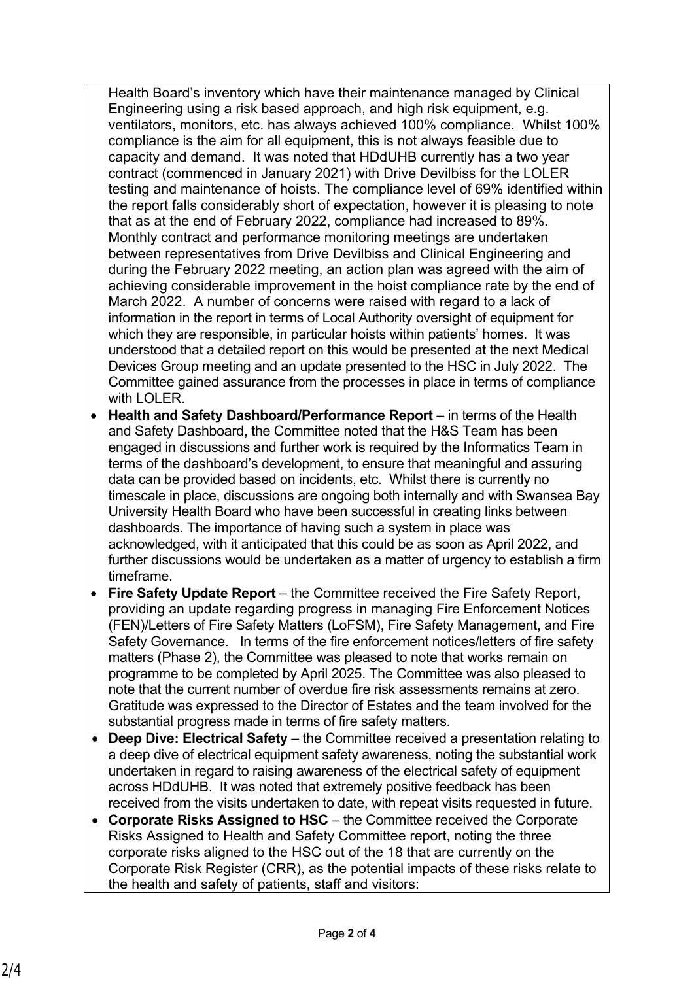Health Board's inventory which have their maintenance managed by Clinical Engineering using a risk based approach, and high risk equipment, e.g. ventilators, monitors, etc. has always achieved 100% compliance. Whilst 100% compliance is the aim for all equipment, this is not always feasible due to capacity and demand. It was noted that HDdUHB currently has a two year contract (commenced in January 2021) with Drive Devilbiss for the LOLER testing and maintenance of hoists. The compliance level of 69% identified within the report falls considerably short of expectation, however it is pleasing to note that as at the end of February 2022, compliance had increased to 89%. Monthly contract and performance monitoring meetings are undertaken between representatives from Drive Devilbiss and Clinical Engineering and during the February 2022 meeting, an action plan was agreed with the aim of achieving considerable improvement in the hoist compliance rate by the end of March 2022. A number of concerns were raised with regard to a lack of information in the report in terms of Local Authority oversight of equipment for which they are responsible, in particular hoists within patients' homes. It was understood that a detailed report on this would be presented at the next Medical Devices Group meeting and an update presented to the HSC in July 2022. The Committee gained assurance from the processes in place in terms of compliance with LOLER.

- **Health and Safety Dashboard/Performance Report** in terms of the Health and Safety Dashboard, the Committee noted that the H&S Team has been engaged in discussions and further work is required by the Informatics Team in terms of the dashboard's development, to ensure that meaningful and assuring data can be provided based on incidents, etc. Whilst there is currently no timescale in place, discussions are ongoing both internally and with Swansea Bay University Health Board who have been successful in creating links between dashboards. The importance of having such a system in place was acknowledged, with it anticipated that this could be as soon as April 2022, and further discussions would be undertaken as a matter of urgency to establish a firm timeframe.
- **Fire Safety Update Report** the Committee received the Fire Safety Report, providing an update regarding progress in managing Fire Enforcement Notices (FEN)/Letters of Fire Safety Matters (LoFSM), Fire Safety Management, and Fire Safety Governance. In terms of the fire enforcement notices/letters of fire safety matters (Phase 2), the Committee was pleased to note that works remain on programme to be completed by April 2025. The Committee was also pleased to note that the current number of overdue fire risk assessments remains at zero. Gratitude was expressed to the Director of Estates and the team involved for the substantial progress made in terms of fire safety matters.
- **Deep Dive: Electrical Safety** the Committee received a presentation relating to a deep dive of electrical equipment safety awareness, noting the substantial work undertaken in regard to raising awareness of the electrical safety of equipment across HDdUHB. It was noted that extremely positive feedback has been received from the visits undertaken to date, with repeat visits requested in future.
- **Corporate Risks Assigned to HSC** the Committee received the Corporate Risks Assigned to Health and Safety Committee report, noting the three corporate risks aligned to the HSC out of the 18 that are currently on the Corporate Risk Register (CRR), as the potential impacts of these risks relate to the health and safety of patients, staff and visitors: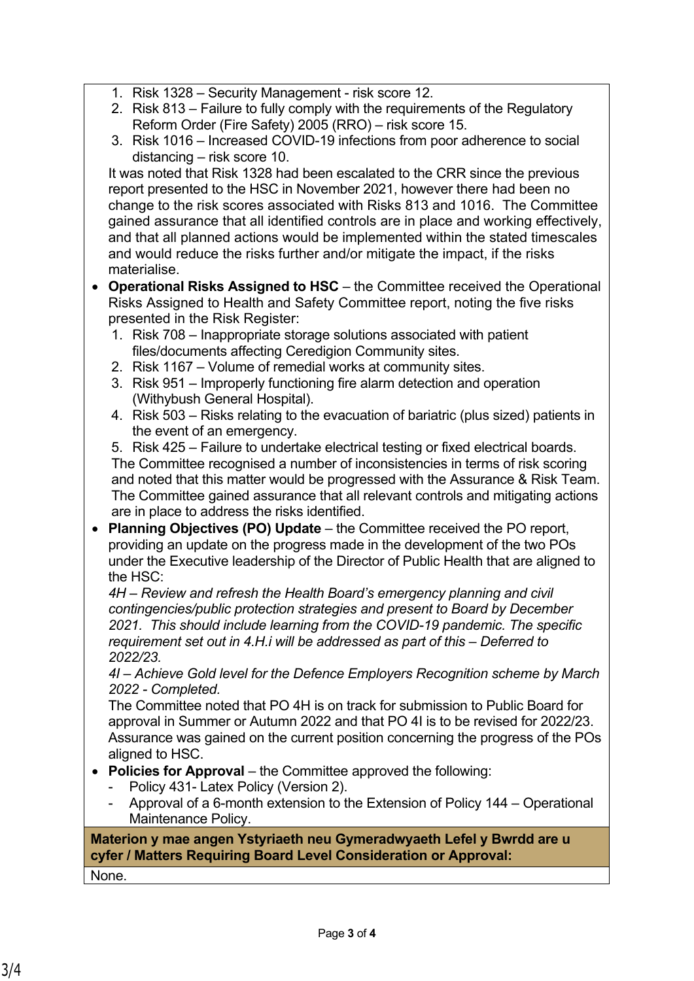- 1. Risk 1328 Security Management risk score 12.
- 2. Risk 813 Failure to fully comply with the requirements of the Regulatory Reform Order (Fire Safety) 2005 (RRO) – risk score 15.
- 3. Risk 1016 Increased COVID-19 infections from poor adherence to social distancing – risk score 10.

It was noted that Risk 1328 had been escalated to the CRR since the previous report presented to the HSC in November 2021, however there had been no change to the risk scores associated with Risks 813 and 1016. The Committee gained assurance that all identified controls are in place and working effectively, and that all planned actions would be implemented within the stated timescales and would reduce the risks further and/or mitigate the impact, if the risks materialise.

- **Operational Risks Assigned to HSC** the Committee received the Operational Risks Assigned to Health and Safety Committee report, noting the five risks presented in the Risk Register:
	- 1. Risk 708 Inappropriate storage solutions associated with patient files/documents affecting Ceredigion Community sites.
	- 2. Risk 1167 Volume of remedial works at community sites.
	- 3. Risk 951 Improperly functioning fire alarm detection and operation (Withybush General Hospital).
	- 4. Risk 503 Risks relating to the evacuation of bariatric (plus sized) patients in the event of an emergency.

5. Risk 425 – Failure to undertake electrical testing or fixed electrical boards. The Committee recognised a number of inconsistencies in terms of risk scoring and noted that this matter would be progressed with the Assurance & Risk Team. The Committee gained assurance that all relevant controls and mitigating actions are in place to address the risks identified.

 **Planning Objectives (PO) Update** – the Committee received the PO report, providing an update on the progress made in the development of the two POs under the Executive leadership of the Director of Public Health that are aligned to the HSC:

*4H – Review and refresh the Health Board's emergency planning and civil contingencies/public protection strategies and present to Board by December 2021. This should include learning from the COVID-19 pandemic. The specific requirement set out in 4.H.i will be addressed as part of this – Deferred to 2022/23.*

*4I – Achieve Gold level for the Defence Employers Recognition scheme by March 2022 - Completed.*

The Committee noted that PO 4H is on track for submission to Public Board for approval in Summer or Autumn 2022 and that PO 4I is to be revised for 2022/23. Assurance was gained on the current position concerning the progress of the POs aligned to HSC.

- Policies for Approval the Committee approved the following:
	- Policy 431- Latex Policy (Version 2).
	- Approval of a 6-month extension to the Extension of Policy 144 Operational Maintenance Policy.

**Materion y mae angen Ystyriaeth neu Gymeradwyaeth Lefel y Bwrdd are u cyfer / Matters Requiring Board Level Consideration or Approval:**

None.